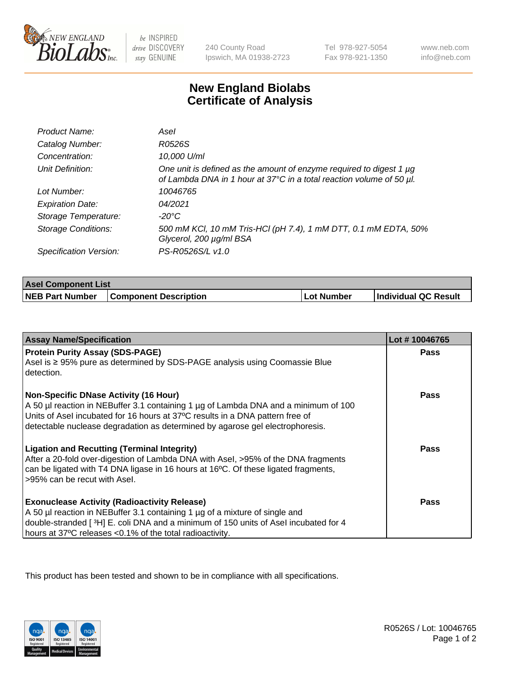

be INSPIRED drive DISCOVERY stay GENUINE

240 County Road Ipswich, MA 01938-2723 Tel 978-927-5054 Fax 978-921-1350 www.neb.com info@neb.com

## **New England Biolabs Certificate of Analysis**

| Product Name:              | Asel                                                                                                                                             |
|----------------------------|--------------------------------------------------------------------------------------------------------------------------------------------------|
| Catalog Number:            | R0526S                                                                                                                                           |
| Concentration:             | 10,000 U/ml                                                                                                                                      |
| Unit Definition:           | One unit is defined as the amount of enzyme required to digest 1 $\mu$ g<br>of Lambda DNA in 1 hour at 37°C in a total reaction volume of 50 µl. |
| Lot Number:                | 10046765                                                                                                                                         |
| <b>Expiration Date:</b>    | 04/2021                                                                                                                                          |
| Storage Temperature:       | $-20^{\circ}$ C                                                                                                                                  |
| <b>Storage Conditions:</b> | 500 mM KCI, 10 mM Tris-HCI (pH 7.4), 1 mM DTT, 0.1 mM EDTA, 50%<br>Glycerol, 200 µg/ml BSA                                                       |
| Specification Version:     | PS-R0526S/L v1.0                                                                                                                                 |

| <b>Asel Component List</b> |                                         |            |                      |  |  |
|----------------------------|-----------------------------------------|------------|----------------------|--|--|
|                            | NEB Part Number   Component Description | Lot Number | Individual QC Result |  |  |

| <b>Assay Name/Specification</b>                                                     | Lot #10046765 |
|-------------------------------------------------------------------------------------|---------------|
| <b>Protein Purity Assay (SDS-PAGE)</b>                                              | <b>Pass</b>   |
| Asel is ≥ 95% pure as determined by SDS-PAGE analysis using Coomassie Blue          |               |
| detection.                                                                          |               |
| <b>Non-Specific DNase Activity (16 Hour)</b>                                        | <b>Pass</b>   |
| A 50 µl reaction in NEBuffer 3.1 containing 1 µg of Lambda DNA and a minimum of 100 |               |
| Units of Asel incubated for 16 hours at 37°C results in a DNA pattern free of       |               |
| detectable nuclease degradation as determined by agarose gel electrophoresis.       |               |
| <b>Ligation and Recutting (Terminal Integrity)</b>                                  | Pass          |
| After a 20-fold over-digestion of Lambda DNA with Asel, >95% of the DNA fragments   |               |
| can be ligated with T4 DNA ligase in 16 hours at 16°C. Of these ligated fragments,  |               |
| >95% can be recut with Asel.                                                        |               |
| <b>Exonuclease Activity (Radioactivity Release)</b>                                 | <b>Pass</b>   |
| A 50 µl reaction in NEBuffer 3.1 containing 1 µg of a mixture of single and         |               |
| double-stranded [3H] E. coli DNA and a minimum of 150 units of Asel incubated for 4 |               |
| hours at 37°C releases <0.1% of the total radioactivity.                            |               |

This product has been tested and shown to be in compliance with all specifications.